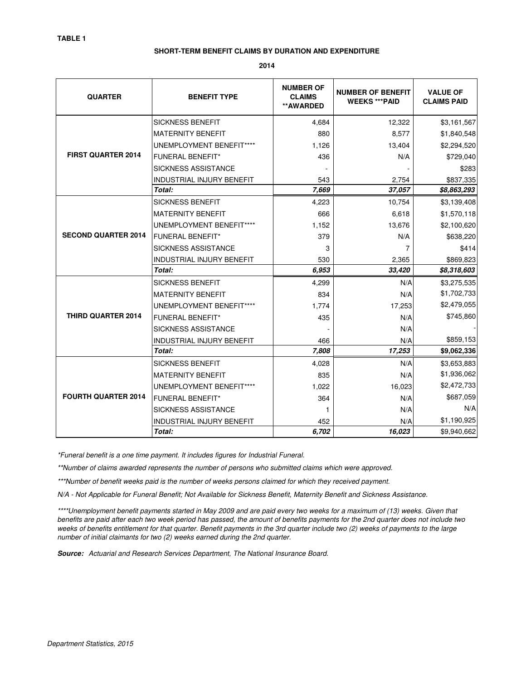#### **SHORT-TERM BENEFIT CLAIMS BY DURATION AND EXPENDITURE**

**2014**

| <b>QUARTER</b>             | <b>BENEFIT TYPE</b>              | <b>NUMBER OF</b><br><b>CLAIMS</b><br>**AWARDED | <b>NUMBER OF BENEFIT</b><br><b>WEEKS *** PAID</b> | <b>VALUE OF</b><br><b>CLAIMS PAID</b> |
|----------------------------|----------------------------------|------------------------------------------------|---------------------------------------------------|---------------------------------------|
|                            | <b>SICKNESS BENEFIT</b>          | 4,684                                          | 12,322                                            | \$3,161,567                           |
|                            | <b>MATERNITY BENEFIT</b>         | 880                                            | 8,577                                             | \$1,840,548                           |
|                            | UNEMPLOYMENT BENEFIT****         | 1,126                                          | 13,404                                            | \$2,294,520                           |
| <b>FIRST QUARTER 2014</b>  | <b>FUNERAL BENEFIT*</b>          | 436                                            | N/A                                               | \$729,040                             |
|                            | <b>SICKNESS ASSISTANCE</b>       |                                                |                                                   | \$283                                 |
|                            | <b>INDUSTRIAL INJURY BENEFIT</b> | 543                                            | 2,754                                             | \$837,335                             |
|                            | Total:                           | 7,669                                          | 37,057                                            | \$8,863,293                           |
|                            | <b>SICKNESS BENEFIT</b>          | 4,223                                          | 10,754                                            | \$3,139,408                           |
|                            | <b>MATERNITY BENEFIT</b>         | 666                                            | 6,618                                             | \$1,570,118                           |
| <b>SECOND QUARTER 2014</b> | UNEMPLOYMENT BENEFIT****         | 1,152                                          | 13,676                                            | \$2,100,620                           |
|                            | <b>FUNERAL BENEFIT*</b>          | 379                                            | N/A                                               | \$638,220                             |
|                            | <b>SICKNESS ASSISTANCE</b>       | 3                                              | 7                                                 | \$414                                 |
|                            | <b>INDUSTRIAL INJURY BENEFIT</b> | 530                                            | 2,365                                             | \$869,823                             |
|                            | Total:                           | 6.953                                          | 33,420                                            | \$8,318,603                           |
| <b>THIRD QUARTER 2014</b>  | <b>SICKNESS BENEFIT</b>          | 4,299                                          | N/A                                               | \$3,275,535                           |
|                            | <b>MATERNITY BENEFIT</b>         | 834                                            | N/A                                               | \$1,702,733                           |
|                            | UNEMPLOYMENT BENEFIT****         | 1,774                                          | 17,253                                            | \$2,479,055                           |
|                            | <b>FUNERAL BENEFIT*</b>          | 435                                            | N/A                                               | \$745,860                             |
|                            | <b>SICKNESS ASSISTANCE</b>       |                                                | N/A                                               |                                       |
|                            | <b>INDUSTRIAL INJURY BENEFIT</b> | 466                                            | N/A                                               | \$859,153                             |
|                            | Total:                           | 7,808                                          | 17,253                                            | \$9,062,336                           |
| <b>FOURTH QUARTER 2014</b> | <b>SICKNESS BENEFIT</b>          | 4,028                                          | N/A                                               | \$3,653,883                           |
|                            | <b>MATERNITY BENEFIT</b>         | 835                                            | N/A                                               | \$1,936,062                           |
|                            | UNEMPLOYMENT BENEFIT****         | 1,022                                          | 16,023                                            | \$2,472,733                           |
|                            | <b>FUNERAL BENEFIT*</b>          | 364                                            | N/A                                               | \$687,059                             |
|                            | <b>SICKNESS ASSISTANCE</b>       | 1                                              | N/A                                               | N/A                                   |
|                            | <b>INDUSTRIAL INJURY BENEFIT</b> | 452                                            | N/A                                               | \$1,190,925                           |
|                            | Total:                           | 6,702                                          | 16,023                                            | \$9,940,662                           |

\*Funeral benefit is a one time payment. It includes figures for Industrial Funeral.

\*\*Number of claims awarded represents the number of persons who submitted claims which were approved.

\*\*\*Number of benefit weeks paid is the number of weeks persons claimed for which they received payment.

N/A - Not Applicable for Funeral Benefit; Not Available for Sickness Benefit, Maternity Benefit and Sickness Assistance.

\*\*\*\*Unemployment benefit payments started in May 2009 and are paid every two weeks for a maximum of (13) weeks. Given that benefits are paid after each two week period has passed, the amount of benefits payments for the 2nd quarter does not include two weeks of benefits entitlement for that quarter. Benefit payments in the 3rd quarter include two (2) weeks of payments to the large number of initial claimants for two (2) weeks earned during the 2nd quarter.

**Source:** Actuarial and Research Services Department, The National Insurance Board.